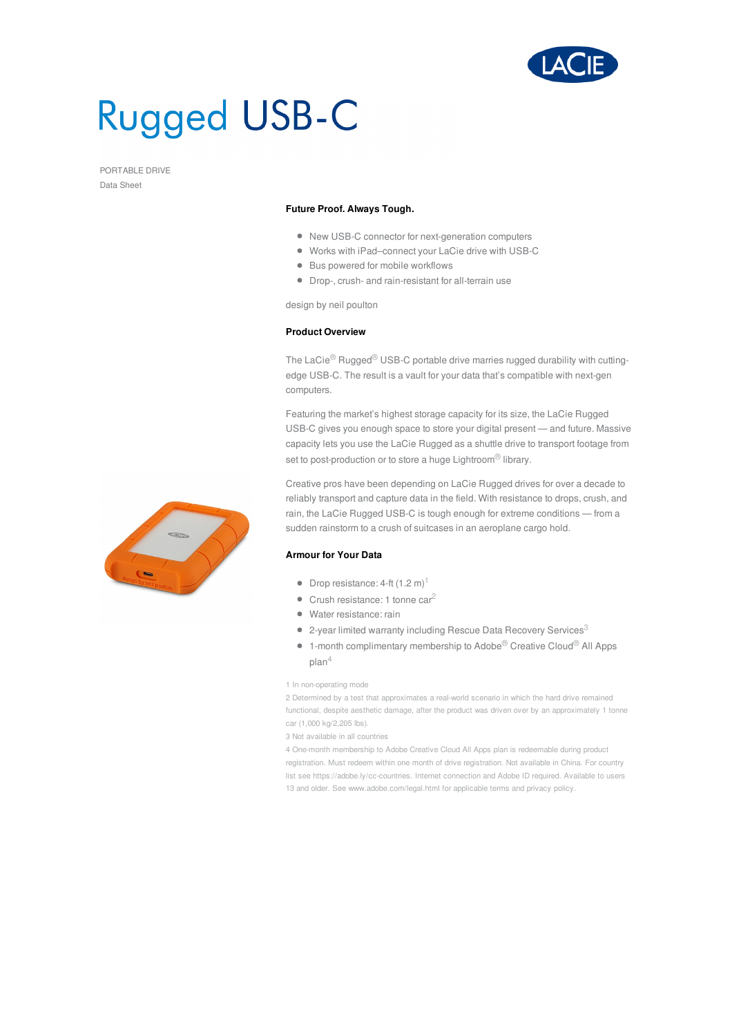

# **Rugged USB-C**

PORTABLE DRIVE Data Sheet

# **Future Proof. Always Tough.**

- New USB-C connector for next-generation computers
- Works with iPad–connect your LaCie drive with USB-C
- Bus powered for mobile workflows
- Drop-, crush- and rain-resistant for all-terrain use

design by neil poulton

# **Product Overview**

The LaCie<sup>®</sup> Rugged<sup>®</sup> USB-C portable drive marries rugged durability with cuttingedge USB-C. The result is a vault for your data that's compatible with next-gen computers.

Featuring the market's highest storage capacity for its size, the LaCie Rugged USB-C gives you enough space to store your digital present — and future. Massive capacity lets you use the LaCie Rugged as a shuttle drive to transport footage from set to post-production or to store a huge Lightroom® library.

Creative pros have been depending on LaCie Rugged drives for over a decade to reliably transport and capture data in the field. With resistance to drops, crush, and rain, the LaCie Rugged USB-C is tough enough for extreme conditions — from a sudden rainstorm to a crush of suitcases in an aeroplane cargo hold.

## **Armour for Your Data**

- Drop resistance: 4-ft  $(1.2 \text{ m})^1$
- $\bullet$  Crush resistance: 1 tonne car<sup>2</sup>
- Water resistance: rain
- 2-year limited warranty including Rescue Data Recovery Services $^3$
- $\bullet$  1-month complimentary membership to Adobe® Creative Cloud® All Apps plan $^4\,$

### 1 In non-operating mode

2 Determined by a test that approximates a real-world scenario in which the hard drive remained functional, despite aesthetic damage, after the product was driven over by an approximately 1 tonne car (1,000 kg/2,205 lbs).

3 Not available in all countries

4 One-month membership to Adobe Creative Cloud All Apps plan is redeemable during product registration. Must redeem within one month of drive registration. Not available in China. For country list see https://adobe.ly/cc-countries. Internet connection and Adobe ID required. Available to users 13 and older. See www.adobe.com/legal.html for applicable terms and privacy policy.